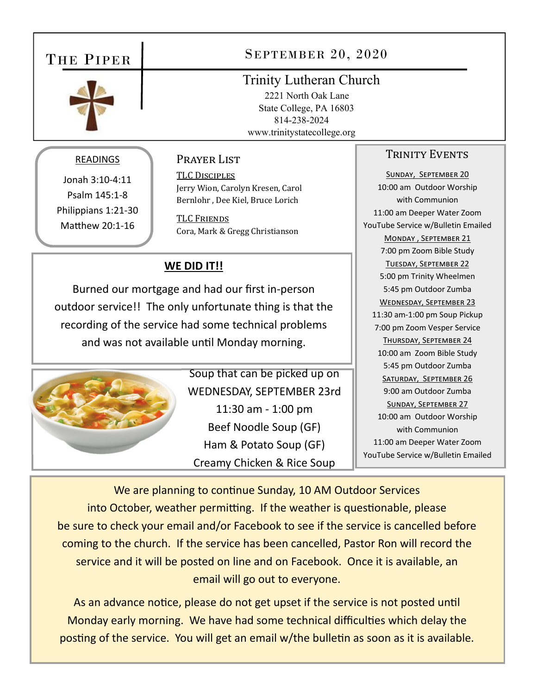## THE PIPER



## SEPTEMBER 20, 2020

## Trinity Lutheran Church

 2221 North Oak Lane State College, PA 16803 814-238-2024 www.trinitystatecollege.org

#### READINGS

Jonah 3:10‐4:11 Psalm 145:1‐8 Philippians 1:21‐30 Matthew 20:1-16

## Prayer List

TLC DISCIPLES Jerry Wion, Carolyn Kresen, Carol Bernlohr , Dee Kiel, Bruce Lorich

**TLC FRIENDS** Cora, Mark & Gregg Christianson

## **WE DID IT!!**

Burned our mortgage and had our first in‐person outdoor service!! The only unfortunate thing is that the recording of the service had some technical problems and was not available until Monday morning.



Soup that can be picked up on WEDNESDAY, SEPTEMBER 23rd 11:30 am ‐ 1:00 pm Beef Noodle Soup (GF) Ham & Potato Soup (GF) Creamy Chicken & Rice Soup

## TRINITY EVENTS

SUNDAY, SEPTEMBER 20 10:00 am Outdoor Worship with Communion 11:00 am Deeper Water Zoom YouTube Service w/Bulletin Emailed MONDAY, SEPTEMBER 21 7:00 pm Zoom Bible Study TUESDAY, SEPTEMBER 22 5:00 pm Trinity Wheelmen 5:45 pm Outdoor Zumba WEDNESDAY, SEPTEMBER 23 11:30 am‐1:00 pm Soup Pickup 7:00 pm Zoom Vesper Service THURSDAY, SEPTEMBER 24 10:00 am Zoom Bible Study 5:45 pm Outdoor Zumba SATURDAY, SEPTEMBER 26 9:00 am Outdoor Zumba SUNDAY, SEPTEMBER 27 10:00 am Outdoor Worship with Communion 11:00 am Deeper Water Zoom YouTube Service w/Bulletin Emailed

We are planning to continue Sunday, 10 AM Outdoor Services into October, weather permitting. If the weather is questionable, please be sure to check your email and/or Facebook to see if the service is cancelled before coming to the church. If the service has been cancelled, Pastor Ron will record the service and it will be posted on line and on Facebook. Once it is available, an email will go out to everyone.

As an advance notice, please do not get upset if the service is not posted until Monday early morning. We have had some technical difficulties which delay the posting of the service. You will get an email w/the bulletin as soon as it is available.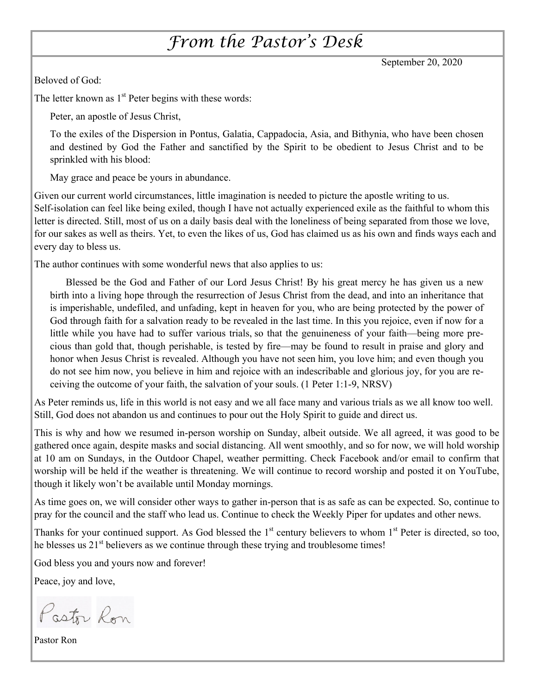## *From the Pastor's Desk*

September 20, 2020

Beloved of God:

The letter known as  $1<sup>st</sup>$  Peter begins with these words:

Peter, an apostle of Jesus Christ,

To the exiles of the Dispersion in Pontus, Galatia, Cappadocia, Asia, and Bithynia, who have been chosen and destined by God the Father and sanctified by the Spirit to be obedient to Jesus Christ and to be sprinkled with his blood:

May grace and peace be yours in abundance.

Given our current world circumstances, little imagination is needed to picture the apostle writing to us. Self-isolation can feel like being exiled, though I have not actually experienced exile as the faithful to whom this letter is directed. Still, most of us on a daily basis deal with the loneliness of being separated from those we love, for our sakes as well as theirs. Yet, to even the likes of us, God has claimed us as his own and finds ways each and every day to bless us.

The author continues with some wonderful news that also applies to us:

Blessed be the God and Father of our Lord Jesus Christ! By his great mercy he has given us a new birth into a living hope through the resurrection of Jesus Christ from the dead, and into an inheritance that is imperishable, undefiled, and unfading, kept in heaven for you, who are being protected by the power of God through faith for a salvation ready to be revealed in the last time. In this you rejoice, even if now for a little while you have had to suffer various trials, so that the genuineness of your faith—being more precious than gold that, though perishable, is tested by fire—may be found to result in praise and glory and honor when Jesus Christ is revealed. Although you have not seen him, you love him; and even though you do not see him now, you believe in him and rejoice with an indescribable and glorious joy, for you are receiving the outcome of your faith, the salvation of your souls. (1 Peter 1:1-9, NRSV)

As Peter reminds us, life in this world is not easy and we all face many and various trials as we all know too well. Still, God does not abandon us and continues to pour out the Holy Spirit to guide and direct us.

This is why and how we resumed in-person worship on Sunday, albeit outside. We all agreed, it was good to be gathered once again, despite masks and social distancing. All went smoothly, and so for now, we will hold worship at 10 am on Sundays, in the Outdoor Chapel, weather permitting. Check Facebook and/or email to confirm that worship will be held if the weather is threatening. We will continue to record worship and posted it on YouTube, though it likely won't be available until Monday mornings.

As time goes on, we will consider other ways to gather in-person that is as safe as can be expected. So, continue to pray for the council and the staff who lead us. Continue to check the Weekly Piper for updates and other news.

Thanks for your continued support. As God blessed the  $1<sup>st</sup>$  century believers to whom  $1<sup>st</sup>$  Peter is directed, so too, he blesses us  $21<sup>st</sup>$  believers as we continue through these trying and troublesome times!

God bless you and yours now and forever!

Peace, joy and love,

Pastor Ron

Pastor Ron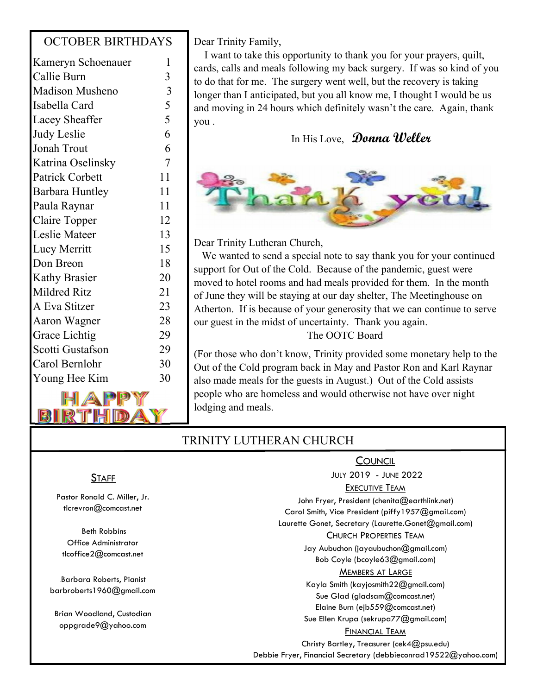## OCTOBER BIRTHDAYS

| Kameryn Schoenauer            | 1                       |
|-------------------------------|-------------------------|
| Callie Burn                   | 3                       |
| <b>Madison Musheno</b>        | $\overline{\mathbf{3}}$ |
| Isabella Card                 | 5                       |
| Lacey Sheaffer                | 5                       |
| Judy Leslie                   | 6                       |
| Jonah Trout                   | 6                       |
| Katrina Oselinsky             | $\overline{7}$          |
| <b>Patrick Corbett</b>        | 11                      |
| Barbara Huntley               | 11                      |
| Paula Raynar                  | 11                      |
| Claire Topper                 | 12                      |
| Leslie Mateer                 | 13                      |
| Lucy Merritt                  | 15                      |
| Don Breon                     | 18                      |
| <b>Kathy Brasier</b>          | 20                      |
| Mildred Ritz                  | 21                      |
| A Eva Stitzer                 | 23                      |
| Aaron Wagner                  | 28                      |
| Grace Lichtig                 | 29                      |
| Scotti Gustafson              | 29                      |
| Carol Bernlohr                | 30                      |
| Young Hee Kim                 | 30                      |
| <b>FILITION RADIO COMPANY</b> |                         |



Dear Trinity Family,

 I want to take this opportunity to thank you for your prayers, quilt, cards, calls and meals following my back surgery. If was so kind of you to do that for me. The surgery went well, but the recovery is taking longer than I anticipated, but you all know me, I thought I would be us and moving in 24 hours which definitely wasn't the care. Again, thank you .

## In His Love, **Donna Weller**



Dear Trinity Lutheran Church,

 We wanted to send a special note to say thank you for your continued support for Out of the Cold. Because of the pandemic, guest were moved to hotel rooms and had meals provided for them. In the month of June they will be staying at our day shelter, The Meetinghouse on Atherton. If is because of your generosity that we can continue to serve our guest in the midst of uncertainty. Thank you again. The OOTC Board

(For those who don't know, Trinity provided some monetary help to the Out of the Cold program back in May and Pastor Ron and Karl Raynar also made meals for the guests in August.) Out of the Cold assists people who are homeless and would otherwise not have over night lodging and meals.

## TRINITY LUTHERAN CHURCH

## **STAFF**

Pastor Ronald C. Miller, Jr. tlcrevron@comcast.net

 Beth Robbins Office Administrator tlcoffice2@comcast.net

Barbara Roberts, Pianist barbroberts1960@gmail.com

Brian Woodland, Custodian oppgrade9@yahoo.com

#### **COUNCIL**

JULY 2019 - JUNE 2022

#### EXECUTIVE TEAM

John Fryer, President (chenita@earthlink.net) Carol Smith, Vice President (piffy1957@gmail.com) Laurette Gonet, Secretary (Laurette.Gonet@gmail.com)

#### CHURCH PROPERTIES TEAM

Jay Aubuchon (jayaubuchon@gmail.com) Bob Coyle (bcoyle63@gmail.com)

#### MEMBERS AT LARGE

Kayla Smith (kayjosmith22@gmail.com) Sue Glad (gladsam@comcast.net) Elaine Burn (ejb559@comcast.net) Sue Ellen Krupa (sekrupa77@gmail.com)

#### FINANCIAL TEAM

Christy Bartley, Treasurer (cek4@psu.edu)

Debbie Fryer, Financial Secretary (debbieconrad19522@yahoo.com)